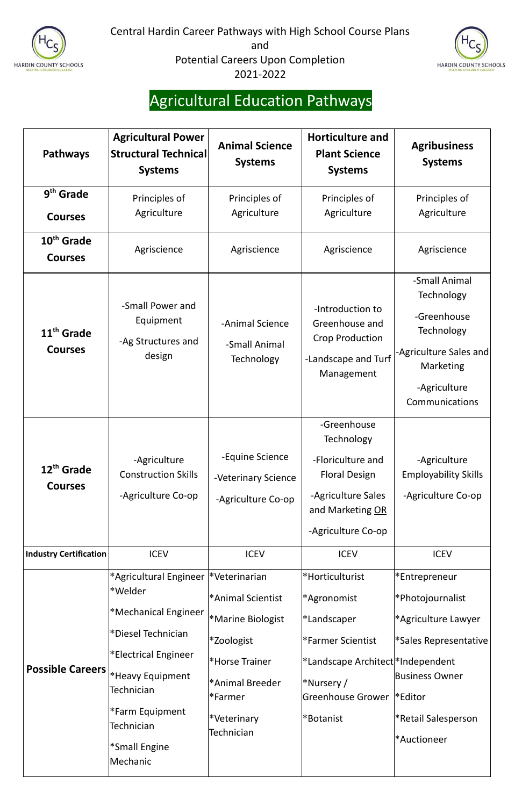



# Agricultural Education Pathways

| <b>Pathways</b>                          | <b>Agricultural Power</b><br><b>Structural Technical</b><br><b>Systems</b>                                                                                                                                                                | <b>Animal Science</b><br><b>Systems</b>                                                                                                                             | <b>Horticulture and</b><br><b>Plant Science</b><br><b>Systems</b>                                                                                              | <b>Agribusiness</b><br><b>Systems</b>                                                                                                                                                    |
|------------------------------------------|-------------------------------------------------------------------------------------------------------------------------------------------------------------------------------------------------------------------------------------------|---------------------------------------------------------------------------------------------------------------------------------------------------------------------|----------------------------------------------------------------------------------------------------------------------------------------------------------------|------------------------------------------------------------------------------------------------------------------------------------------------------------------------------------------|
| $9th$ Grade<br><b>Courses</b>            | Principles of<br>Agriculture                                                                                                                                                                                                              | Principles of<br>Agriculture                                                                                                                                        | Principles of<br>Agriculture                                                                                                                                   | Principles of<br>Agriculture                                                                                                                                                             |
| 10 <sup>th</sup> Grade<br><b>Courses</b> | Agriscience                                                                                                                                                                                                                               | Agriscience                                                                                                                                                         | Agriscience                                                                                                                                                    | Agriscience                                                                                                                                                                              |
| 11 <sup>th</sup> Grade<br><b>Courses</b> | -Small Power and<br>Equipment<br>-Ag Structures and<br>design                                                                                                                                                                             | -Animal Science<br>-Small Animal<br>Technology                                                                                                                      | -Introduction to<br>Greenhouse and<br><b>Crop Production</b><br>-Landscape and Turf<br>Management                                                              | -Small Animal<br>Technology<br>-Greenhouse<br>Technology<br>-Agriculture Sales and<br>Marketing<br>-Agriculture<br><b>Communications</b>                                                 |
| 12 <sup>th</sup> Grade<br><b>Courses</b> | -Agriculture<br><b>Construction Skills</b><br>-Agriculture Co-op                                                                                                                                                                          | -Equine Science<br>-Veterinary Science<br>-Agriculture Co-op                                                                                                        | -Greenhouse<br><b>Technology</b><br>-Floriculture and<br><b>Floral Design</b><br>-Agriculture Sales<br>and Marketing OR<br>-Agriculture Co-op                  | -Agriculture<br><b>Employability Skills</b><br>-Agriculture Co-op                                                                                                                        |
| <b>Industry Certification</b>            | <b>ICEV</b>                                                                                                                                                                                                                               | <b>ICEV</b>                                                                                                                                                         | <b>ICEV</b>                                                                                                                                                    | <b>ICEV</b>                                                                                                                                                                              |
| <b>Possible Careers</b>                  | *Agricultural Engineer  *Veterinarian<br>*Welder<br>*Mechanical Engineer<br>*Diesel Technician<br>*Electrical Engineer<br>*Heavy Equipment<br>Technician<br>*Farm Equipment<br><b>Technician</b><br><sup>*</sup> Small Engine<br>Mechanic | *Animal Scientist<br><b>*Marine Biologist</b><br>*Zoologist<br><sup>*</sup> Horse Trainer<br>*Animal Breeder<br>l*Farmer<br><i><b>*Veterinary</b></i><br>Technician | *Horticulturist<br>*Agronomist<br>*Landscaper<br>*Farmer Scientist<br>*Landscape Architect *Independent<br>*Nursery /<br><b>Greenhouse Grower</b><br>*Botanist | *Entrepreneur<br>Photojournalist* <br>*Agriculture Lawyer<br><sup>*</sup> Sales Representative<br><b>Business Owner</b><br>$ \cdot $ Editor<br><b>*Retail Salesperson</b><br>*Auctioneer |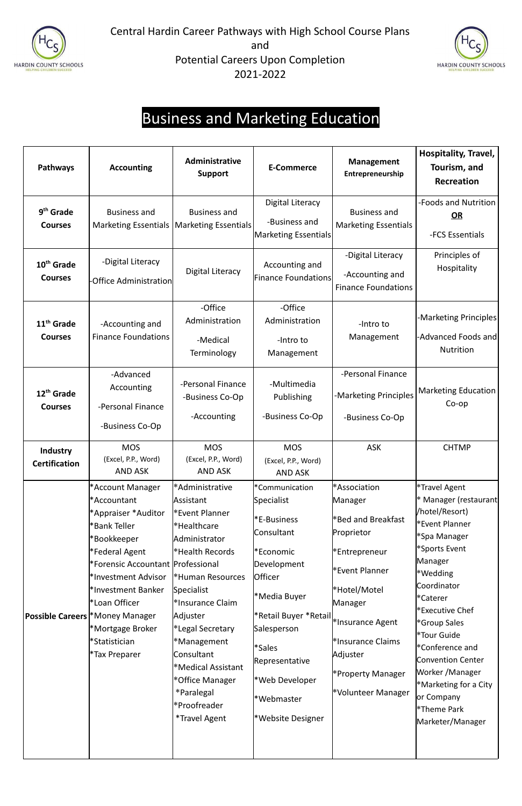



### Business and Marketing Education

| Pathways                                 | <b>Accounting</b>                                                                                                                                                                                                                                                                                            | Administrative<br><b>Support</b>                                                                                                                                                                                                                                                                                                              | <b>E-Commerce</b>                                                                                                                                                                                                                                                                    | <b>Management</b><br>Entrepreneurship                                                                                                                                                                                                            | Hospitality, Travel,<br>Tourism, and<br><b>Recreation</b>                                                                                                                                                                                                                                                                                                    |
|------------------------------------------|--------------------------------------------------------------------------------------------------------------------------------------------------------------------------------------------------------------------------------------------------------------------------------------------------------------|-----------------------------------------------------------------------------------------------------------------------------------------------------------------------------------------------------------------------------------------------------------------------------------------------------------------------------------------------|--------------------------------------------------------------------------------------------------------------------------------------------------------------------------------------------------------------------------------------------------------------------------------------|--------------------------------------------------------------------------------------------------------------------------------------------------------------------------------------------------------------------------------------------------|--------------------------------------------------------------------------------------------------------------------------------------------------------------------------------------------------------------------------------------------------------------------------------------------------------------------------------------------------------------|
| 9 <sup>th</sup> Grade<br><b>Courses</b>  | <b>Business and</b><br><b>Marketing Essentials</b>                                                                                                                                                                                                                                                           | <b>Business and</b><br>Marketing Essentials                                                                                                                                                                                                                                                                                                   | <b>Digital Literacy</b><br>-Business and<br>Marketing Essentials                                                                                                                                                                                                                     | <b>Business and</b><br><b>Marketing Essentials</b>                                                                                                                                                                                               | -Foods and Nutrition<br>OR<br>-FCS Essentials                                                                                                                                                                                                                                                                                                                |
| 10 <sup>th</sup> Grade<br><b>Courses</b> | -Digital Literacy<br>-Office Administrationl                                                                                                                                                                                                                                                                 | <b>Digital Literacy</b>                                                                                                                                                                                                                                                                                                                       | Accounting and<br><b>Finance Foundations</b>                                                                                                                                                                                                                                         | -Digital Literacy<br>-Accounting and<br><b>Finance Foundations</b>                                                                                                                                                                               | Principles of<br>Hospitality                                                                                                                                                                                                                                                                                                                                 |
| 11 <sup>th</sup> Grade<br><b>Courses</b> | -Accounting and<br><b>Finance Foundations</b>                                                                                                                                                                                                                                                                | -Office<br>Administration<br>-Medical<br>Terminology                                                                                                                                                                                                                                                                                          | -Office<br>Administration<br>-Intro to<br>Management                                                                                                                                                                                                                                 | -Intro to<br>Management                                                                                                                                                                                                                          | -Marketing Principles<br>-Advanced Foods and<br><b>Nutrition</b>                                                                                                                                                                                                                                                                                             |
| 12 <sup>th</sup> Grade<br><b>Courses</b> | -Advanced<br>Accounting<br>-Personal Finance<br>-Business Co-Op                                                                                                                                                                                                                                              | -Personal Finance<br>-Business Co-Op<br>-Accounting                                                                                                                                                                                                                                                                                           | -Multimedia<br>Publishing<br>-Business Co-Op                                                                                                                                                                                                                                         | -Personal Finance<br>-Marketing Principles<br>-Business Co-Op                                                                                                                                                                                    | <b>Marketing Education</b><br>$Co$ -op                                                                                                                                                                                                                                                                                                                       |
| <b>Industry</b><br><b>Certification</b>  | <b>MOS</b><br>(Excel, P.P., Word)<br><b>AND ASK</b>                                                                                                                                                                                                                                                          | <b>MOS</b><br>(Excel, P.P., Word)<br><b>AND ASK</b>                                                                                                                                                                                                                                                                                           | <b>MOS</b><br>(Excel, P.P., Word)<br><b>AND ASK</b>                                                                                                                                                                                                                                  | <b>ASK</b>                                                                                                                                                                                                                                       | <b>CHTMP</b>                                                                                                                                                                                                                                                                                                                                                 |
|                                          | *Account Manager<br>*Accountant<br>*Appraiser *Auditor<br>*Bank Teller<br>*Bookkeeper<br>*Federal Agent<br>*Forensic Accountant  Professional<br>*Investment Advisor<br>*Investment Banker<br>*Loan Officer<br><b>Possible Careers  *Money Manager</b><br>*Mortgage Broker<br>*Statistician<br>*Tax Preparer | *Administrative<br>Assistant<br><b>Event Planner*</b><br>*Healthcare<br>Administrator<br>*Health Records<br><sup>*</sup> Human Resources<br>Specialist<br>*Insurance Claim<br>Adjuster<br>*Legal Secretary<br>*Management<br>Consultant<br>*Medical Assistant<br>*Office Manager<br>*Paralegal<br>*Proofreader<br><i><b>*Travel Agent</b></i> | *Communication<br>Specialist<br>*E-Business<br>Consultant<br>*Economic<br>Development<br><b>Officer</b><br>*Media Buyer<br>i <sup>*</sup> Retail Buyer *Retail <br> *Insurance Agent<br>Salesperson<br>*Sales<br>Representative<br>*Web Developer<br>*Webmaster<br>*Website Designer | *Association<br>Manager<br><b>E</b> Bed and Breakfast <sup>*</sup><br>Proprietor<br><b>Entrepreneur</b> *<br><b>Event Planner*</b><br>*Hotel/Motel<br>Manager<br>*Insurance Claims<br>Adjuster<br><b>*Property Manager</b><br>*Volunteer Manager | *Travel Agent<br>* Manager (restaurant <br>/hotel/Resort)<br>*Event Planner<br>*Spa Manager<br>*Sports Event<br>Manager<br>*Wedding<br>Coordinator<br>*Caterer<br>*Executive Chef<br>*Group Sales<br>*Tour Guide<br>*Conference and<br><b>Convention Center</b><br>Worker /Manager<br>*Marketing for a City<br>or Company<br>*Theme Park<br>Marketer/Manager |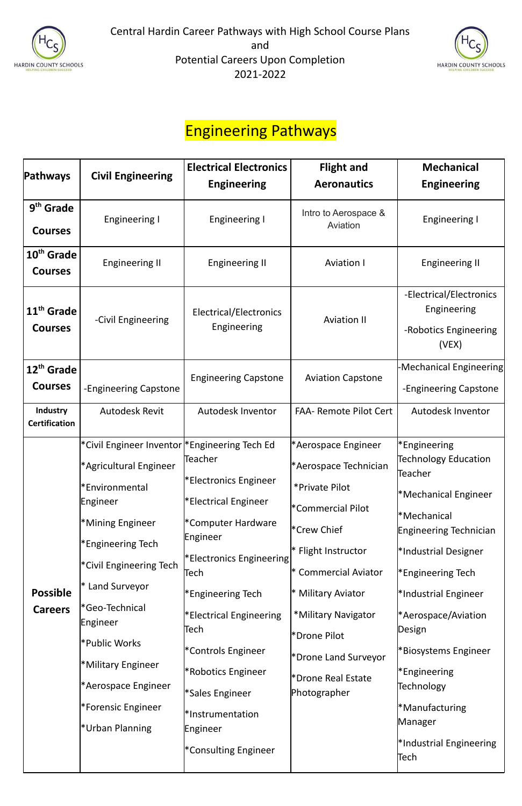



#### Engineering Pathways

| <b>Pathways</b>                          | <b>Civil Engineering</b>                                                                                                                                                                                                                                                                                                           | <b>Electrical Electronics</b>                                                                                                                                                                                                                                                                                 | <b>Flight and</b>                                                                                                                                                                                                                                                                                  | <b>Mechanical</b>                                                                                                                                                                                                                                                                                                                                                            |
|------------------------------------------|------------------------------------------------------------------------------------------------------------------------------------------------------------------------------------------------------------------------------------------------------------------------------------------------------------------------------------|---------------------------------------------------------------------------------------------------------------------------------------------------------------------------------------------------------------------------------------------------------------------------------------------------------------|----------------------------------------------------------------------------------------------------------------------------------------------------------------------------------------------------------------------------------------------------------------------------------------------------|------------------------------------------------------------------------------------------------------------------------------------------------------------------------------------------------------------------------------------------------------------------------------------------------------------------------------------------------------------------------------|
|                                          |                                                                                                                                                                                                                                                                                                                                    | <b>Engineering</b>                                                                                                                                                                                                                                                                                            | <b>Aeronautics</b>                                                                                                                                                                                                                                                                                 | <b>Engineering</b>                                                                                                                                                                                                                                                                                                                                                           |
| 9 <sup>th</sup> Grade<br><b>Courses</b>  | Engineering I                                                                                                                                                                                                                                                                                                                      | <b>Engineering I</b>                                                                                                                                                                                                                                                                                          | Intro to Aerospace &<br>Aviation                                                                                                                                                                                                                                                                   | <b>Engineering I</b>                                                                                                                                                                                                                                                                                                                                                         |
| 10 <sup>th</sup> Grade<br><b>Courses</b> | <b>Engineering II</b>                                                                                                                                                                                                                                                                                                              | <b>Engineering II</b>                                                                                                                                                                                                                                                                                         | <b>Aviation I</b>                                                                                                                                                                                                                                                                                  | <b>Engineering II</b>                                                                                                                                                                                                                                                                                                                                                        |
| 11 <sup>th</sup> Grade<br><b>Courses</b> | -Civil Engineering                                                                                                                                                                                                                                                                                                                 | Electrical/Electronics<br>Engineering                                                                                                                                                                                                                                                                         | <b>Aviation II</b>                                                                                                                                                                                                                                                                                 | -Electrical/Electronics<br>Engineering<br>-Robotics Engineering<br>(VEX)                                                                                                                                                                                                                                                                                                     |
| 12 <sup>th</sup> Grade<br><b>Courses</b> | -Engineering Capstone                                                                                                                                                                                                                                                                                                              | <b>Engineering Capstone</b>                                                                                                                                                                                                                                                                                   | <b>Aviation Capstone</b>                                                                                                                                                                                                                                                                           | -Mechanical Engineering<br>-Engineering Capstone                                                                                                                                                                                                                                                                                                                             |
| <b>Industry</b><br><b>Certification</b>  | <b>Autodesk Revit</b>                                                                                                                                                                                                                                                                                                              | Autodesk Inventor                                                                                                                                                                                                                                                                                             | <b>FAA- Remote Pilot Cert</b>                                                                                                                                                                                                                                                                      | Autodesk Inventor                                                                                                                                                                                                                                                                                                                                                            |
| <b>Possible</b><br><b>Careers</b>        | *Civil Engineer Inventor  *Engineering Tech Ed<br>*Agricultural Engineer<br>*Environmental<br>Engineer<br>*Mining Engineer<br>*Engineering Tech<br>*Civil Engineering Tech<br>* Land Surveyor<br>*Geo-Technical<br>Engineer<br>*Public Works<br>*Military Engineer<br>*Aerospace Engineer<br>*Forensic Engineer<br>*Urban Planning | Teacher<br>*Electronics Engineer<br>*Electrical Engineer<br>*Computer Hardware<br>Engineer<br>*Electronics Engineering<br>Tech<br>*Engineering Tech<br>*Electrical Engineering<br>Tech<br>*Controls Engineer<br>*Robotics Engineer<br>*Sales Engineer<br>*Instrumentation<br>Engineer<br>*Consulting Engineer | *Aerospace Engineer<br>*Aerospace Technician<br>*Private Pilot<br>*Commercial Pilot<br><sup>*</sup> Crew Chief<br>* Flight Instructor<br><b>Commercial Aviator</b><br><b>Military Aviator</b><br>*Military Navigator<br>*Drone Pilot<br>*Drone Land Surveyor<br>*Drone Real Estate<br>Photographer | <b>Engineering</b> *<br>Technology Education<br>Teacher<br>*Mechanical Engineer<br>*Mechanical<br>Engineering Technician<br>*Industrial Designer<br><sup>*</sup> Engineering Tech<br>*Industrial Engineer<br><sup>*</sup> Aerospace/Aviation<br>Design<br>*Biosystems Engineer<br>*Engineering<br>Technology<br>*Manufacturing<br>Manager<br>*Industrial Engineering<br>Tech |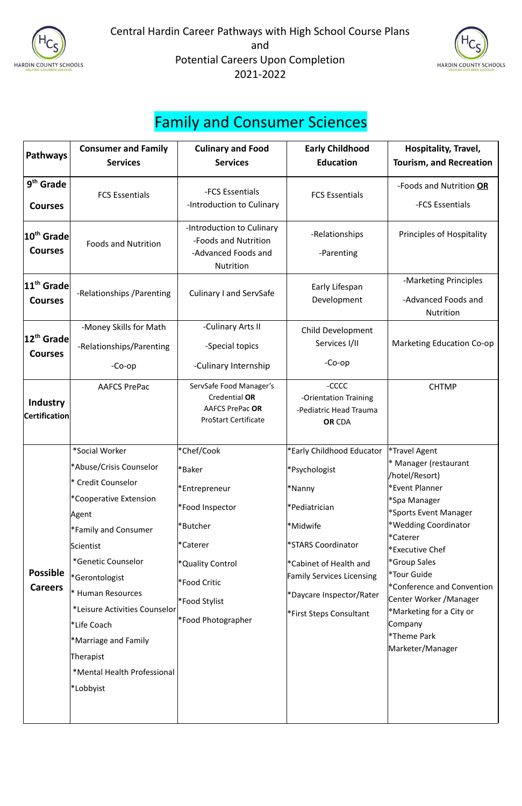



### Family and Consumer Sciences

| <b>Pathways</b>                           | <b>Consumer and Family</b><br><b>Services</b>                                                                                                                                                                                                                                                                                                                             | <b>Culinary and Food</b><br><b>Services</b>                                                                                                                               | <b>Early Childhood</b><br><b>Education</b>                                                                                                                                                                                               | Hospitality, Travel,<br><b>Tourism, and Recreation</b>                                                                                                                                                                                                                                                                                                                            |
|-------------------------------------------|---------------------------------------------------------------------------------------------------------------------------------------------------------------------------------------------------------------------------------------------------------------------------------------------------------------------------------------------------------------------------|---------------------------------------------------------------------------------------------------------------------------------------------------------------------------|------------------------------------------------------------------------------------------------------------------------------------------------------------------------------------------------------------------------------------------|-----------------------------------------------------------------------------------------------------------------------------------------------------------------------------------------------------------------------------------------------------------------------------------------------------------------------------------------------------------------------------------|
| 9 <sup>th</sup> Grade<br><b>Courses</b>   | <b>FCS Essentials</b>                                                                                                                                                                                                                                                                                                                                                     | -FCS Essentials<br>-Introduction to Culinary                                                                                                                              | <b>FCS Essentials</b>                                                                                                                                                                                                                    | -Foods and Nutrition OR<br>-FCS Essentials                                                                                                                                                                                                                                                                                                                                        |
| 10 <sup>th</sup> Grade<br><b>Courses</b>  | <b>Foods and Nutrition</b>                                                                                                                                                                                                                                                                                                                                                | -Introduction to Culinary<br>-Foods and Nutrition<br>-Advanced Foods and<br><b>Nutrition</b>                                                                              | -Relationships<br>-Parenting                                                                                                                                                                                                             | <b>Principles of Hospitality</b>                                                                                                                                                                                                                                                                                                                                                  |
| $ 11^{\text{th}}$ Grade<br><b>Courses</b> | -Relationships / Parenting                                                                                                                                                                                                                                                                                                                                                | <b>Culinary I and ServSafe</b>                                                                                                                                            | Early Lifespan<br>Development                                                                                                                                                                                                            | -Marketing Principles<br>-Advanced Foods and<br><b>Nutrition</b>                                                                                                                                                                                                                                                                                                                  |
| 12 <sup>th</sup> Grade<br><b>Courses</b>  | -Money Skills for Math<br>-Relationships/Parenting<br>$-Co$ -op                                                                                                                                                                                                                                                                                                           | -Culinary Arts II<br>-Special topics<br>-Culinary Internship                                                                                                              | <b>Child Development</b><br>Services I/II<br>$-Co$ -op                                                                                                                                                                                   | <b>Marketing Education Co-op</b>                                                                                                                                                                                                                                                                                                                                                  |
| <b>Industry</b><br><b>Certification</b>   | <b>AAFCS PrePac</b>                                                                                                                                                                                                                                                                                                                                                       | ServSafe Food Manager's<br>Credential OR<br><b>AAFCS PrePac OR</b><br><b>ProStart Certificate</b>                                                                         | -CCCC<br>-Orientation Training<br>-Pediatric Head Trauma<br><b>OR CDA</b>                                                                                                                                                                | <b>CHTMP</b>                                                                                                                                                                                                                                                                                                                                                                      |
| <b>Possible</b><br><b>Careers</b>         | *Social Worker<br>*Abuse/Crisis Counselor<br><sup>*</sup> Credit Counselor<br>*Cooperative Extension<br> Agent<br>Family and Consumer <sup>*</sup><br>Scientist<br>*Genetic Counselor<br>*Gerontologist<br>* Human Resources<br>*Leisure Activities Counselor<br><sup>*</sup> Life Coach<br>*Marriage and Family<br>Therapist<br>*Mental Health Professional<br>*Lobbyist | *Chef/Cook<br>*Baker<br>*Entrepreneur<br>*Food Inspector<br>*Butcher<br><i><b>*Caterer</b></i><br>*Quality Control<br>*Food Critic<br>*Food Stylist<br>*Food Photographer | *Early Childhood Educator<br>*Psychologist<br><sup>*</sup> Nanny<br>*Pediatrician<br>*Midwife<br>*STARS Coordinator<br>*Cabinet of Health and<br><b>Family Services Licensing</b><br>*Daycare Inspector/Rater<br>*First Steps Consultant | *Travel Agent<br>* Manager (restaurant<br>/hotel/Resort)<br>Fevent Planner<br>*Spa Manager<br>*Sports Event Manager<br>*Wedding Coordinator<br>l*Caterer<br><sup>*</sup> Executive Chef<br>*Group Sales<br>*Tour Guide<br><sup>*</sup> Conference and Convention<br>Center Worker / Manager<br>*Marketing for a City or<br>Company<br><sup>*</sup> Theme Park<br>Marketer/Manager |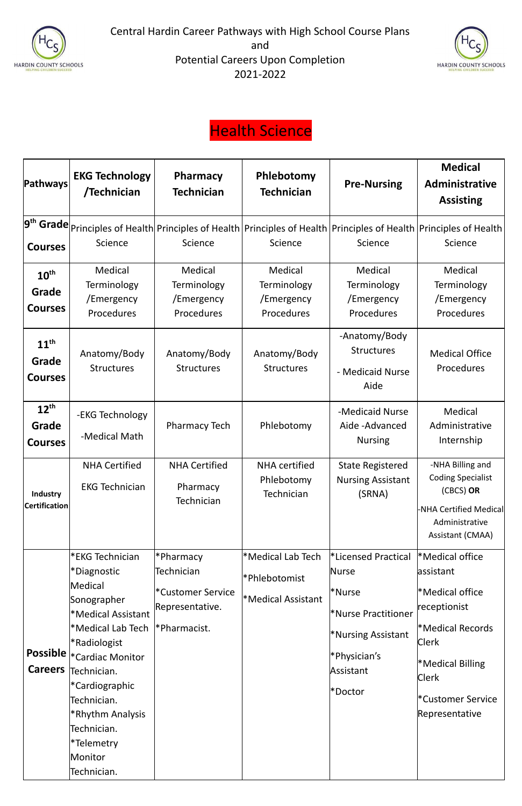



## Health Science

| Pathways                                    | <b>EKG Technology</b><br>/Technician                                                                                                                                                                                                                                          | <b>Pharmacy</b><br><b>Technician</b>                                                  | Phlebotomy<br><b>Technician</b>                                 | <b>Pre-Nursing</b>                                                                                                                                      | <b>Medical</b><br>Administrative<br><b>Assisting</b>                                                                                                                                                                                             |
|---------------------------------------------|-------------------------------------------------------------------------------------------------------------------------------------------------------------------------------------------------------------------------------------------------------------------------------|---------------------------------------------------------------------------------------|-----------------------------------------------------------------|---------------------------------------------------------------------------------------------------------------------------------------------------------|--------------------------------------------------------------------------------------------------------------------------------------------------------------------------------------------------------------------------------------------------|
| <b>Courses</b>                              | Science                                                                                                                                                                                                                                                                       | Science                                                                               | Science                                                         | Science                                                                                                                                                 | $\left. \mathbf{9}^{\mathsf{th}}\mathop{\mathsf{Grade}}\right _{\mathsf{Principles of Health}}$ Principles of Health $\left. \mathsf{Principles of Health}\right $ Principles of Health $\left. \mathsf{Principles of Health}\right $<br>Science |
| $10^{\text{th}}$<br>Grade<br><b>Courses</b> | Medical<br>Terminology<br>/Emergency<br>Procedures                                                                                                                                                                                                                            | Medical<br>Terminology<br>/Emergency<br>Procedures                                    | Medical<br>Terminology<br>/Emergency<br>Procedures              | Medical<br>Terminology<br>/Emergency<br>Procedures                                                                                                      | Medical<br>Terminology<br>/Emergency<br>Procedures                                                                                                                                                                                               |
| $11^{\text{th}}$<br>Grade<br><b>Courses</b> | Anatomy/Body<br><b>Structures</b>                                                                                                                                                                                                                                             | Anatomy/Body<br><b>Structures</b>                                                     | Anatomy/Body<br><b>Structures</b>                               | -Anatomy/Body<br><b>Structures</b><br>- Medicaid Nurse<br>Aide                                                                                          | <b>Medical Office</b><br>Procedures                                                                                                                                                                                                              |
| $12^{\text{th}}$<br>Grade<br><b>Courses</b> | -EKG Technology<br>-Medical Math                                                                                                                                                                                                                                              | <b>Pharmacy Tech</b>                                                                  | Phlebotomy                                                      | -Medicaid Nurse<br>Aide-Advanced<br><b>Nursing</b>                                                                                                      | Medical<br>Administrative<br>Internship                                                                                                                                                                                                          |
| Industry<br><b>Certification</b>            | <b>NHA Certified</b><br><b>EKG Technician</b>                                                                                                                                                                                                                                 | <b>NHA Certified</b><br>Pharmacy<br>Technician                                        | <b>NHA</b> certified<br>Phlebotomy<br>Technician                | <b>State Registered</b><br><b>Nursing Assistant</b><br>(SRNA)                                                                                           | -NHA Billing and<br><b>Coding Specialist</b><br>(CBCS) OR<br>-NHA Certified Medical<br>Administrative<br>Assistant (CMAA)                                                                                                                        |
| <b>Careers</b>                              | *EKG Technician<br>*Diagnostic<br>Medical<br>Sonographer<br>*Medical Assistant<br>*Medical Lab Tech<br>*Radiologist<br>Possible  * Cardiac Monitor<br>Technician.<br>*Cardiographic<br>Technician.<br>*Rhythm Analysis<br>Technician.<br>*Telemetry<br>Monitor<br>Technician. | *Pharmacy<br>Technician<br><i>*Customer Service</i><br>Representative.<br>Pharmacist. | *Medical Lab Tech<br>*Phlebotomist<br><b>*Medical Assistant</b> | <b>*Licensed Practical</b><br>Nurse<br>l*Nurse<br>*Nurse Practitioner<br><b>*Nursing Assistant</b><br>Physician's <sup>*</sup><br>Assistant<br>l*Doctor | *Medical office<br>assistant<br>*Medical office<br>receptionist<br>*Medical Records<br><b>Clerk</b><br><b>Medical Billing</b><br><b>Clerk</b><br>*Customer Service<br>Representative                                                             |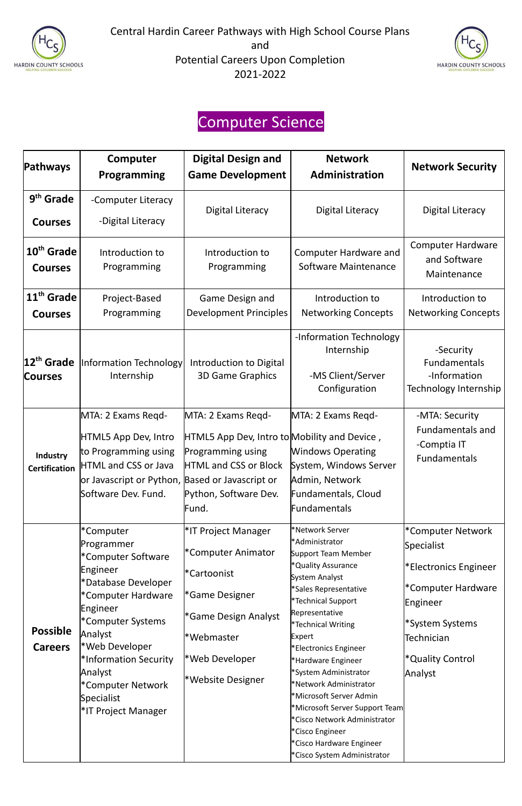



## Computer Science

| <b>Pathways</b>                          | Computer<br>Programming                                                                                                                                              | <b>Digital Design and</b><br><b>Game Development</b>                                                                                                      | <b>Network</b><br>Administration                                                                                                  | <b>Network Security</b>                                                         |
|------------------------------------------|----------------------------------------------------------------------------------------------------------------------------------------------------------------------|-----------------------------------------------------------------------------------------------------------------------------------------------------------|-----------------------------------------------------------------------------------------------------------------------------------|---------------------------------------------------------------------------------|
| 9 <sup>th</sup> Grade<br><b>Courses</b>  | -Computer Literacy<br>-Digital Literacy                                                                                                                              | <b>Digital Literacy</b>                                                                                                                                   | <b>Digital Literacy</b>                                                                                                           | <b>Digital Literacy</b>                                                         |
| 10 <sup>th</sup> Grade<br><b>Courses</b> | Introduction to<br>Programming                                                                                                                                       | Introduction to<br>Programming                                                                                                                            | <b>Computer Hardware and</b><br>Software Maintenance                                                                              | <b>Computer Hardware</b><br>and Software<br>Maintenance                         |
| 11 <sup>th</sup> Grade<br><b>Courses</b> | Project-Based<br>Programming                                                                                                                                         | Game Design and<br><b>Development Principles</b>                                                                                                          | Introduction to<br><b>Networking Concepts</b>                                                                                     | Introduction to<br><b>Networking Concepts</b>                                   |
| 12 <sup>th</sup> Grade<br><b>Courses</b> | <b>Information Technology</b><br>Internship                                                                                                                          | Introduction to Digital<br><b>3D Game Graphics</b>                                                                                                        | -Information Technology<br>Internship<br>-MS Client/Server<br>Configuration                                                       | -Security<br>Fundamentals<br>-Information<br>Technology Internship              |
| <b>Industry</b><br><b>Certification</b>  | MTA: 2 Exams Regd-<br>HTML5 App Dev, Intro<br>to Programming using<br>HTML and CSS or Java<br>or Javascript or Python, Based or Javascript or<br>Software Dev. Fund. | MTA: 2 Exams Regd-<br>HTML5 App Dev, Intro to Mobility and Device,<br>Programming using<br><b>HTML and CSS or Block</b><br>Python, Software Dev.<br>Fund. | MTA: 2 Exams Regd-<br><b>Windows Operating</b><br>System, Windows Server<br>Admin, Network<br>Fundamentals, Cloud<br>Fundamentals | -MTA: Security<br><b>Fundamentals and</b><br>-Comptia IT<br><b>Fundamentals</b> |
|                                          | *Computer<br>Programmer<br>*Computer Software<br>Engineer<br>*Database Developer                                                                                     | <sup>*</sup> IT Project Manager<br>*Computer Animator<br>*Cartoonist                                                                                      | *Network Server<br>*Administrator<br>Support Team Member<br>*Quality Assurance<br>System Analyst<br>*Sales Representative         | *Computer Network<br>Specialist<br>*Electronics Engineer<br>*Computer Hardware  |

|                 | *Computer Hardware              | <sup>*</sup> Game Designer       | Saics Incipi cscritative      |                              |
|-----------------|---------------------------------|----------------------------------|-------------------------------|------------------------------|
|                 |                                 |                                  | *Technical Support            | Engineer                     |
|                 | Engineer                        | <sup>*</sup> Game Design Analyst | Representative                |                              |
|                 | *Computer Systems               |                                  | *Technical Writing            | *System Systems              |
| <b>Possible</b> | Analyst                         | l*Webmaster                      | Expert                        | Technician                   |
| <b>Careers</b>  | *Web Developer                  |                                  | *Electronics Engineer         |                              |
|                 | *Information Security           | *Web Developer                   | *Hardware Engineer            | <sup>*</sup> Quality Control |
| Analyst         |                                 |                                  | *System Administrator         | Analyst                      |
|                 | *Computer Network               | <i><b>*Website Designer</b></i>  | *Network Administrator        |                              |
|                 | Specialist                      |                                  | *Microsoft Server Admin       |                              |
|                 | <sup>*</sup> IT Project Manager |                                  | Microsoft Server Support Team |                              |
|                 |                                 |                                  | *Cisco Network Administrator  |                              |
|                 |                                 |                                  | *Cisco Engineer               |                              |
|                 |                                 |                                  | *Cisco Hardware Engineer      |                              |
|                 |                                 |                                  | *Cisco System Administrator   |                              |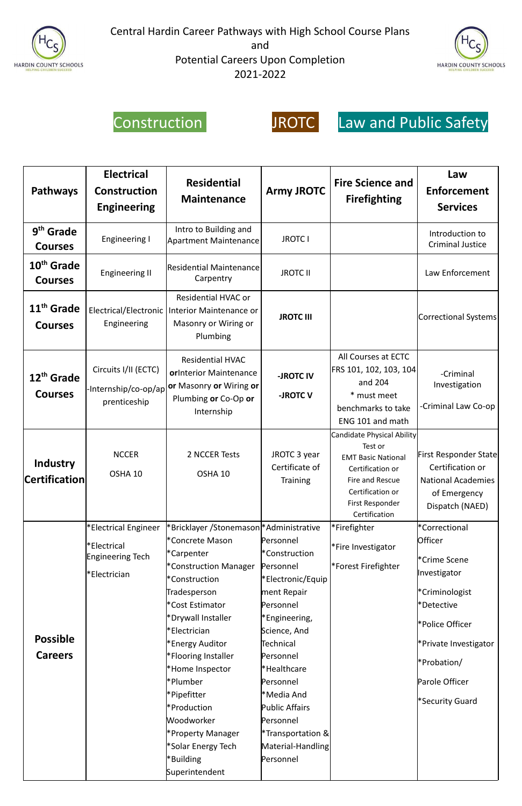





## Construction JROTC Law and Public Safety

| <b>Pathways</b>                          | <b>Electrical</b><br><b>Construction</b><br><b>Engineering</b>                                                                   | <b>Residential</b><br><b>Maintenance</b>                                                                                                                                                                                                                                                                                                                                                          | <b>Army JROTC</b>                                                                                                                                                                                                                                                                          | <b>Fire Science and</b><br><b>Firefighting</b>                                                                                                                    | Law<br><b>Enforcement</b><br><b>Services</b>                                                                                                                                             |
|------------------------------------------|----------------------------------------------------------------------------------------------------------------------------------|---------------------------------------------------------------------------------------------------------------------------------------------------------------------------------------------------------------------------------------------------------------------------------------------------------------------------------------------------------------------------------------------------|--------------------------------------------------------------------------------------------------------------------------------------------------------------------------------------------------------------------------------------------------------------------------------------------|-------------------------------------------------------------------------------------------------------------------------------------------------------------------|------------------------------------------------------------------------------------------------------------------------------------------------------------------------------------------|
| 9 <sup>th</sup> Grade<br><b>Courses</b>  | Engineering I                                                                                                                    | Intro to Building and<br><b>Apartment Maintenance</b>                                                                                                                                                                                                                                                                                                                                             | <b>JROTC I</b>                                                                                                                                                                                                                                                                             |                                                                                                                                                                   | Introduction to<br><b>Criminal Justice</b>                                                                                                                                               |
| 10 <sup>th</sup> Grade<br><b>Courses</b> | <b>Engineering II</b>                                                                                                            | Residential Maintenance<br>Carpentry                                                                                                                                                                                                                                                                                                                                                              | <b>JROTC II</b>                                                                                                                                                                                                                                                                            |                                                                                                                                                                   | Law Enforcement                                                                                                                                                                          |
| 11 <sup>th</sup> Grade<br><b>Courses</b> | <b>Residential HVAC or</b><br>Electrical/Electronic   Interior Maintenance or<br>Masonry or Wiring or<br>Engineering<br>Plumbing |                                                                                                                                                                                                                                                                                                                                                                                                   | <b>JROTC III</b>                                                                                                                                                                                                                                                                           |                                                                                                                                                                   | Correctional Systems                                                                                                                                                                     |
| 12 <sup>th</sup> Grade<br><b>Courses</b> | Circuits I/II (ECTC)<br>prenticeship                                                                                             | <b>Residential HVAC</b><br>orInterior Maintenance<br>-Internship/co-op/ap or Masonry or Wiring or<br>Plumbing or Co-Op or<br>Internship                                                                                                                                                                                                                                                           | -JROTC IV<br>-JROTC V                                                                                                                                                                                                                                                                      | All Courses at ECTC<br>FRS 101, 102, 103, 104<br>and 204<br>* must meet<br>benchmarks to take<br>ENG 101 and math                                                 | -Criminal<br>Investigation<br>-Criminal Law Co-op                                                                                                                                        |
| <b>Industry</b><br>$ $ Certification $ $ | <b>NCCER</b><br>OSHA 10                                                                                                          | 2 NCCER Tests<br>OSHA 10                                                                                                                                                                                                                                                                                                                                                                          | JROTC 3 year<br>Certificate of<br><b>Training</b>                                                                                                                                                                                                                                          | Candidate Physical Ability<br>Test or<br><b>EMT Basic National</b><br>Certification or<br>Fire and Rescue<br>Certification or<br>First Responder<br>Certification | <b>First Responder State</b><br>Certification or<br><b>National Academies</b><br>of Emergency<br>Dispatch (NAED)                                                                         |
| <b>Possible</b><br><b>Careers</b>        | *Electrical Engineer<br>*Electrical<br>Engineering Tech<br>*Electrician                                                          | *Bricklayer /Stonemason *Administrative<br>*Concrete Mason<br>*Carpenter<br>*Construction Manager<br>*Construction<br>Tradesperson<br>*Cost Estimator<br>*Drywall Installer<br>*Electrician<br>*Energy Auditor<br>*Flooring Installer<br>*Home Inspector<br>*Plumber<br>*Pipefitter<br>*Production<br>Woodworker<br><b>Property Manager*</b><br>*Solar Energy Tech<br>*Building<br>Superintendent | Personnel<br>*Construction<br>Personnel<br>*Electronic/Equip<br>ment Repair<br>Personnel<br>*Engineering,<br>Science, And<br><b>Technical</b><br>Personnel<br>*Healthcare<br>Personnel<br>*Media And<br>Public Affairs<br>Personnel<br>*Transportation &<br>Material-Handling<br>Personnel | *Firefighter<br>*Fire Investigator<br>*Forest Firefighter                                                                                                         | *Correctional<br>Officer<br>*Crime Scene<br>Investigator<br>*Criminologist<br>*Detective<br>*Police Officer<br>*Private Investigator<br>*Probation/<br>Parole Officer<br>*Security Guard |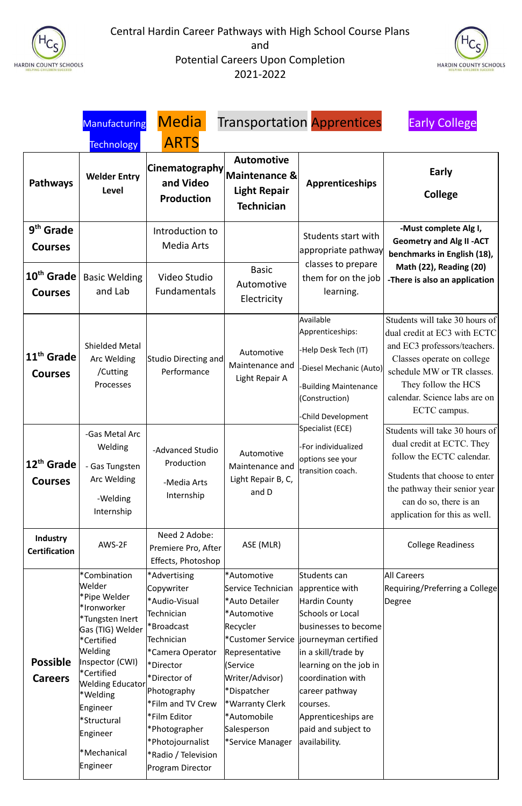



|                                          | <b>Manufacturing</b>                                                                                                                                                                                                                                            | <b>Media</b>                                                                                                                                                                                                                                                                                                             |                                                                                                                                                                                                                                          | <b>Transportation Apprentices</b>                                                                                                                                                                                                                                                              | <b>Early College</b>                                                                                                                                                                                                               |
|------------------------------------------|-----------------------------------------------------------------------------------------------------------------------------------------------------------------------------------------------------------------------------------------------------------------|--------------------------------------------------------------------------------------------------------------------------------------------------------------------------------------------------------------------------------------------------------------------------------------------------------------------------|------------------------------------------------------------------------------------------------------------------------------------------------------------------------------------------------------------------------------------------|------------------------------------------------------------------------------------------------------------------------------------------------------------------------------------------------------------------------------------------------------------------------------------------------|------------------------------------------------------------------------------------------------------------------------------------------------------------------------------------------------------------------------------------|
|                                          | <b>Technology</b>                                                                                                                                                                                                                                               | <b>ARTS</b>                                                                                                                                                                                                                                                                                                              |                                                                                                                                                                                                                                          |                                                                                                                                                                                                                                                                                                |                                                                                                                                                                                                                                    |
| <b>Pathways</b>                          | <b>Welder Entry</b><br><b>Level</b>                                                                                                                                                                                                                             | <b>Cinematography</b><br>and Video<br><b>Production</b>                                                                                                                                                                                                                                                                  | <b>Automotive</b><br>Maintenance &<br><b>Light Repair</b><br><b>Technician</b>                                                                                                                                                           | <b>Apprenticeships</b>                                                                                                                                                                                                                                                                         | Early<br><b>College</b>                                                                                                                                                                                                            |
| 9 <sup>th</sup> Grade<br><b>Courses</b>  |                                                                                                                                                                                                                                                                 | Introduction to<br><b>Media Arts</b>                                                                                                                                                                                                                                                                                     |                                                                                                                                                                                                                                          | Students start with<br>appropriate pathway                                                                                                                                                                                                                                                     | -Must complete Alg I,<br><b>Geometry and Alg II -ACT</b><br>benchmarks in English (18),                                                                                                                                            |
| 10 <sup>th</sup> Grade<br><b>Courses</b> | <b>Basic Welding</b><br>and Lab                                                                                                                                                                                                                                 | Video Studio<br><b>Fundamentals</b>                                                                                                                                                                                                                                                                                      | <b>Basic</b><br>Automotive<br>Electricity                                                                                                                                                                                                | classes to prepare<br>them for on the job<br>learning.                                                                                                                                                                                                                                         | <b>Math (22), Reading (20)</b><br>-There is also an application                                                                                                                                                                    |
| 11 <sup>th</sup> Grade<br><b>Courses</b> | <b>Shielded Metal</b><br>Arc Welding<br>/Cutting<br>Processes                                                                                                                                                                                                   | Studio Directing and<br>Performance                                                                                                                                                                                                                                                                                      | Automotive<br>Maintenance and<br>Light Repair A                                                                                                                                                                                          | Available<br>Apprenticeships:<br>Help Desk Tech (IT)<br>Diesel Mechanic (Auto)<br><b>Building Maintenance</b><br>(Construction)<br>Child Development                                                                                                                                           | Students will take 30 hours of<br>dual credit at EC3 with ECTC<br>and EC3 professors/teachers.<br>Classes operate on college<br>schedule MW or TR classes.<br>They follow the HCS<br>calendar. Science labs are on<br>ECTC campus. |
| 12 <sup>th</sup> Grade<br><b>Courses</b> | -Gas Metal Arc<br>Welding<br>- Gas Tungsten<br>Arc Welding<br>-Welding<br>Internship                                                                                                                                                                            | -Advanced Studio<br>Production<br>-Media Arts<br>Internship                                                                                                                                                                                                                                                              | Automotive<br>Maintenance and<br>Light Repair B, C,<br>and D                                                                                                                                                                             | Specialist (ECE)<br>-For individualized<br>options see your<br>transition coach.                                                                                                                                                                                                               | Students will take 30 hours of<br>dual credit at ECTC. They<br>follow the ECTC calendar.<br>Students that choose to enter<br>the pathway their senior year<br>can do so, there is an<br>application for this as well.              |
| <b>Industry</b><br><b>Certification</b>  | AWS-2F                                                                                                                                                                                                                                                          | Need 2 Adobe:<br>Premiere Pro, After<br>Effects, Photoshop                                                                                                                                                                                                                                                               | ASE (MLR)                                                                                                                                                                                                                                |                                                                                                                                                                                                                                                                                                | <b>College Readiness</b>                                                                                                                                                                                                           |
| <b>Possible</b><br><b>Careers</b>        | *Combination<br>Welder<br>Pipe Welder*<br>*Ironworker<br>*Tungsten Inert<br>Gas (TIG) Welder<br>*Certified<br><b>Welding</b><br>Inspector (CWI)<br>*Certified<br>Welding Educator<br>*Welding<br>Engineer<br>*Structural<br>Engineer<br>*Mechanical<br>Engineer | *Advertising<br>Copywriter<br>*Audio-Visual<br>Technician<br><sup>*</sup> Broadcast<br>Technician<br><sup>*</sup> Camera Operator<br>Pirector <sup>*</sup><br>Pirector of<br>Photography<br>Film and TV Crew<br>Film Editor*<br>Photographer <sup>*</sup><br>*Photojournalist<br>*Radio / Television<br>Program Director | *Automotive<br>Service Technician<br>*Auto Detailer<br>*Automotive<br>Recycler<br>*Customer Service<br>Representative<br>(Service<br>Writer/Advisor)<br>*Dispatcher<br>*Warranty Clerk<br>*Automobile<br>Salesperson<br>*Service Manager | Students can<br>apprentice with<br>Hardin County<br><b>Schools or Local</b><br>businesses to become<br>journeyman certified<br>in a skill/trade by<br>learning on the job in<br>coordination with<br>career pathway<br>courses.<br>Apprenticeships are<br>paid and subject to<br>availability. | <b>All Careers</b><br>Requiring/Preferring a College<br>Degree                                                                                                                                                                     |